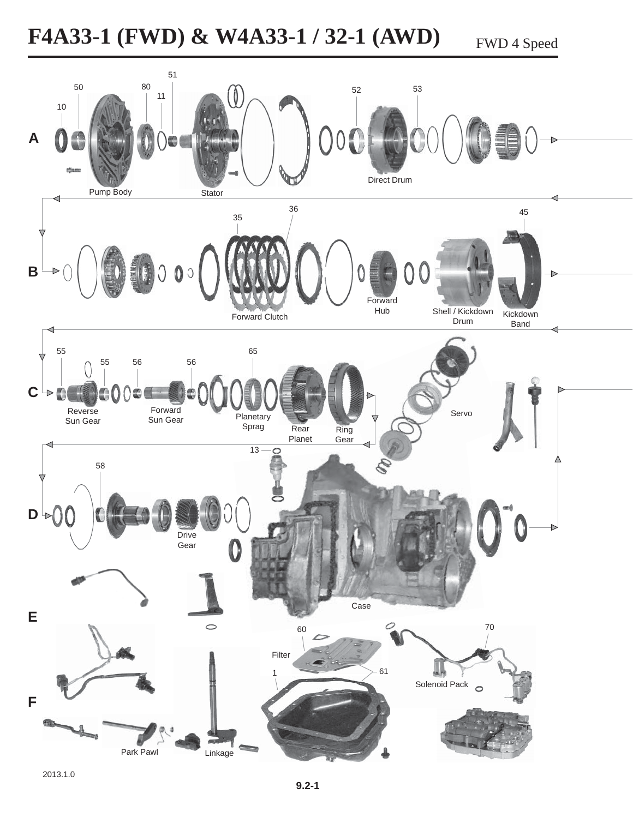**F4A33-1 (FWD) & W4A33-1 / 32-1 (AWD)** FWD 4 Speed

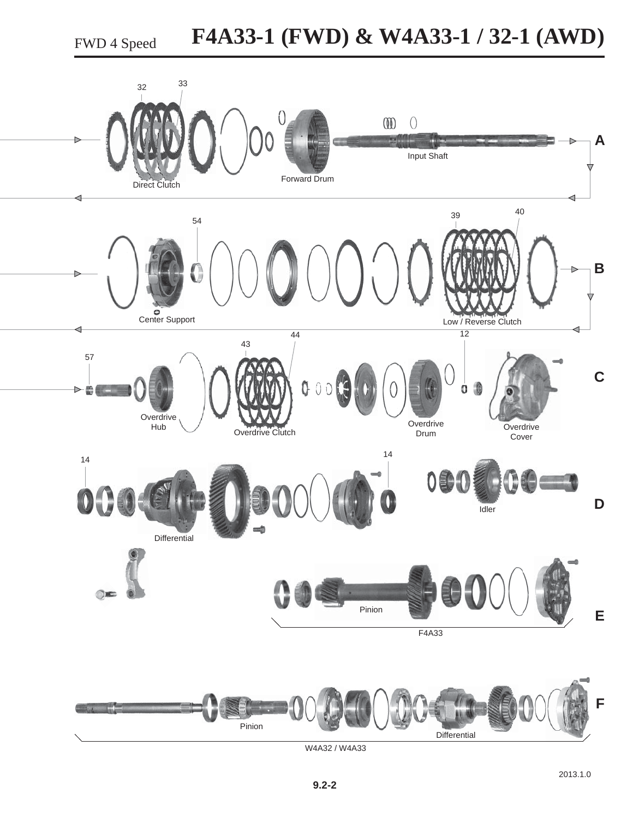FWD 4 Speed

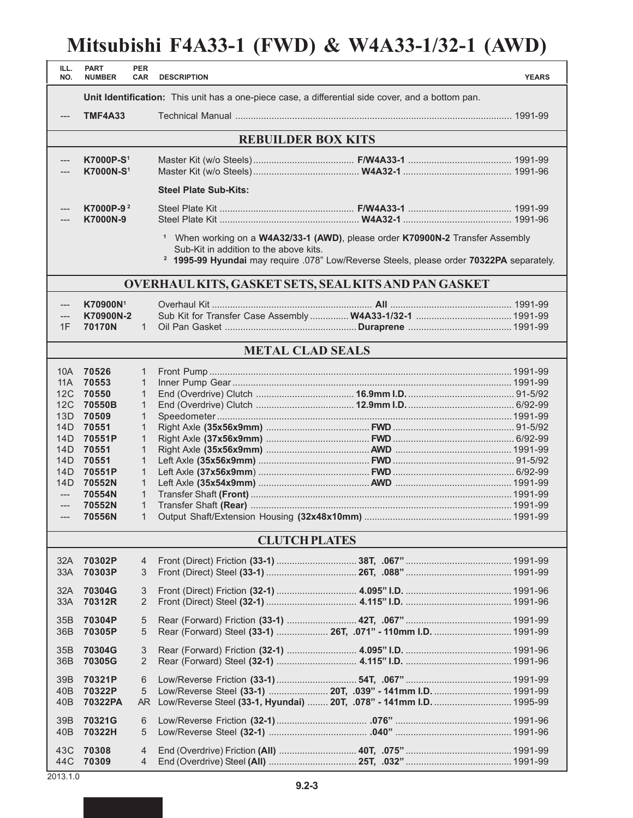## **Mitsubishi F4A33-1 (FWD) & W4A33-1/32-1 (AWD)**

| ILL.<br>NO.                                                 | <b>PART</b><br><b>NUMBER</b>                                                                                                                                                                                                               | <b>PER</b><br><b>CAR</b>                                                                                               | <b>DESCRIPTION</b>           |                                                                                                                                   | <b>YEARS</b> |  |  |  |  |  |
|-------------------------------------------------------------|--------------------------------------------------------------------------------------------------------------------------------------------------------------------------------------------------------------------------------------------|------------------------------------------------------------------------------------------------------------------------|------------------------------|-----------------------------------------------------------------------------------------------------------------------------------|--------------|--|--|--|--|--|
|                                                             | Unit Identification: This unit has a one-piece case, a differential side cover, and a bottom pan.                                                                                                                                          |                                                                                                                        |                              |                                                                                                                                   |              |  |  |  |  |  |
|                                                             | <b>TMF4A33</b>                                                                                                                                                                                                                             |                                                                                                                        |                              |                                                                                                                                   |              |  |  |  |  |  |
|                                                             |                                                                                                                                                                                                                                            |                                                                                                                        |                              |                                                                                                                                   |              |  |  |  |  |  |
| <b>REBUILDER BOX KITS</b>                                   |                                                                                                                                                                                                                                            |                                                                                                                        |                              |                                                                                                                                   |              |  |  |  |  |  |
|                                                             | K7000P-S <sup>1</sup><br><b>K7000N-S1</b>                                                                                                                                                                                                  |                                                                                                                        |                              |                                                                                                                                   |              |  |  |  |  |  |
|                                                             |                                                                                                                                                                                                                                            |                                                                                                                        | <b>Steel Plate Sub-Kits:</b> |                                                                                                                                   |              |  |  |  |  |  |
| $---$                                                       | K7000P-9 <sup>2</sup><br>K7000N-9                                                                                                                                                                                                          |                                                                                                                        |                              |                                                                                                                                   |              |  |  |  |  |  |
|                                                             | <sup>1</sup> When working on a W4A32/33-1 (AWD), please order K70900N-2 Transfer Assembly<br>Sub-Kit in addition to the above kits.<br><sup>2</sup> 1995-99 Hyundai may require .078" Low/Reverse Steels, please order 70322PA separately. |                                                                                                                        |                              |                                                                                                                                   |              |  |  |  |  |  |
| OVERHAUL KITS, GASKET SETS, SEAL KITS AND PAN GASKET        |                                                                                                                                                                                                                                            |                                                                                                                        |                              |                                                                                                                                   |              |  |  |  |  |  |
| $---$                                                       | K70900N <sup>1</sup>                                                                                                                                                                                                                       |                                                                                                                        |                              |                                                                                                                                   |              |  |  |  |  |  |
| 1F                                                          | K70900N-2<br>70170N                                                                                                                                                                                                                        | $\mathbf{1}$                                                                                                           |                              | Sub Kit for Transfer Case Assembly  W4A33-1/32-1  1991-99                                                                         |              |  |  |  |  |  |
|                                                             |                                                                                                                                                                                                                                            |                                                                                                                        |                              |                                                                                                                                   |              |  |  |  |  |  |
|                                                             |                                                                                                                                                                                                                                            |                                                                                                                        | <b>METAL CLAD SEALS</b>      |                                                                                                                                   |              |  |  |  |  |  |
| 10A<br>11A<br>12C<br>12C<br>13D<br>14D<br>14D<br>14D<br>14D | 70526<br>70553<br>70550<br>70550B<br>70509<br>70551<br>70551P<br>70551<br>70551                                                                                                                                                            | $\mathbf{1}$<br>$\mathbf{1}$<br>$\mathbf{1}$<br>$\mathbf{1}$<br>1<br>$\mathbf{1}$<br>$\mathbf{1}$<br>1<br>$\mathbf{1}$ |                              |                                                                                                                                   |              |  |  |  |  |  |
| 14D<br>14D                                                  | 70551P<br>70552N                                                                                                                                                                                                                           | $\mathbf{1}$<br>$\mathbf{1}$                                                                                           |                              |                                                                                                                                   |              |  |  |  |  |  |
| $\qquad \qquad - -$                                         | 70554N                                                                                                                                                                                                                                     | $\mathbf{1}$                                                                                                           |                              |                                                                                                                                   |              |  |  |  |  |  |
| $---$<br>$---$                                              | 70552N<br>70556N                                                                                                                                                                                                                           | $\mathbf{1}$<br>$\mathbf{1}$                                                                                           |                              |                                                                                                                                   |              |  |  |  |  |  |
|                                                             |                                                                                                                                                                                                                                            |                                                                                                                        |                              |                                                                                                                                   |              |  |  |  |  |  |
|                                                             |                                                                                                                                                                                                                                            |                                                                                                                        | <b>CLUTCH PLATES</b>         |                                                                                                                                   |              |  |  |  |  |  |
| 32A<br>33A                                                  | 70302P<br>70303P                                                                                                                                                                                                                           | $\overline{4}$<br>3                                                                                                    |                              |                                                                                                                                   |              |  |  |  |  |  |
| 32A<br>33A                                                  | 70304G<br>70312R                                                                                                                                                                                                                           | 3<br>$\overline{2}$                                                                                                    |                              |                                                                                                                                   |              |  |  |  |  |  |
| 35B<br>36 <sub>B</sub>                                      | 70304P<br>70305P                                                                                                                                                                                                                           | 5<br>5                                                                                                                 |                              | Rear (Forward) Steel (33-1)  26T, .071" - 110mm I.D.  1991-99                                                                     |              |  |  |  |  |  |
| 35B<br>36 <sub>B</sub>                                      | 70304G<br>70305G                                                                                                                                                                                                                           | 3<br>$\overline{2}$                                                                                                    |                              |                                                                                                                                   |              |  |  |  |  |  |
| 39B<br>40 <sub>B</sub><br>40 <sub>B</sub>                   | 70321P<br>70322P<br>70322PA                                                                                                                                                                                                                | 6<br>5<br>AR                                                                                                           |                              | Low/Reverse Steel (33-1)  20T, .039" - 141mm I.D.  1991-99<br>Low/Reverse Steel (33-1, Hyundai)  20T, .078" - 141mm I.D.  1995-99 |              |  |  |  |  |  |
| 39B<br>40 <sub>B</sub>                                      | 70321G<br>70322H                                                                                                                                                                                                                           | 6<br>5                                                                                                                 |                              |                                                                                                                                   |              |  |  |  |  |  |
| 43C<br>44C                                                  | 70308<br>70309                                                                                                                                                                                                                             | $\overline{4}$<br>4                                                                                                    |                              |                                                                                                                                   |              |  |  |  |  |  |